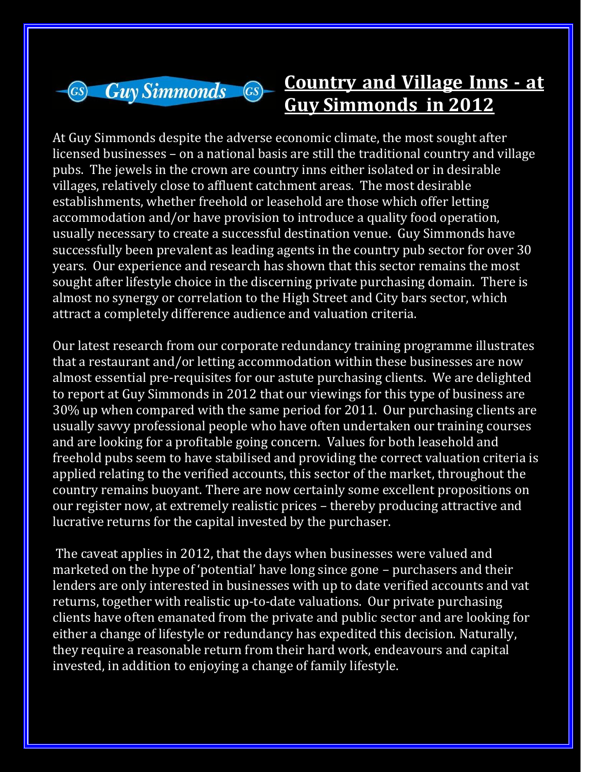

## **Country and Village Inns - at Guy Simmonds in 2012**

At Guy Simmonds despite the adverse economic climate, the most sought after licensed businesses – on a national basis are still the traditional country and village pubs. The jewels in the crown are country inns either isolated or in desirable villages, relatively close to affluent catchment areas. The most desirable establishments, whether freehold or leasehold are those which offer letting accommodation and/or have provision to introduce a quality food operation, usually necessary to create a successful destination venue. Guy Simmonds have successfully been prevalent as leading agents in the country pub sector for over 30 years. Our experience and research has shown that this sector remains the most sought after lifestyle choice in the discerning private purchasing domain. There is almost no synergy or correlation to the High Street and City bars sector, which attract a completely difference audience and valuation criteria.

Our latest research from our corporate redundancy training programme illustrates that a restaurant and/or letting accommodation within these businesses are now almost essential pre-requisites for our astute purchasing clients. We are delighted to report at Guy Simmonds in 2012 that our viewings for this type of business are 30% up when compared with the same period for 2011. Our purchasing clients are usually savvy professional people who have often undertaken our training courses and are looking for a profitable going concern. Values for both leasehold and freehold pubs seem to have stabilised and providing the correct valuation criteria is applied relating to the verified accounts, this sector of the market, throughout the country remains buoyant. There are now certainly some excellent propositions on our register now, at extremely realistic prices – thereby producing attractive and lucrative returns for the capital invested by the purchaser.

The caveat applies in 2012, that the days when businesses were valued and marketed on the hype of 'potential' have long since gone – purchasers and their lenders are only interested in businesses with up to date verified accounts and vat returns, together with realistic up-to-date valuations. Our private purchasing clients have often emanated from the private and public sector and are looking for either a change of lifestyle or redundancy has expedited this decision. Naturally, they require a reasonable return from their hard work, endeavours and capital invested, in addition to enjoying a change of family lifestyle.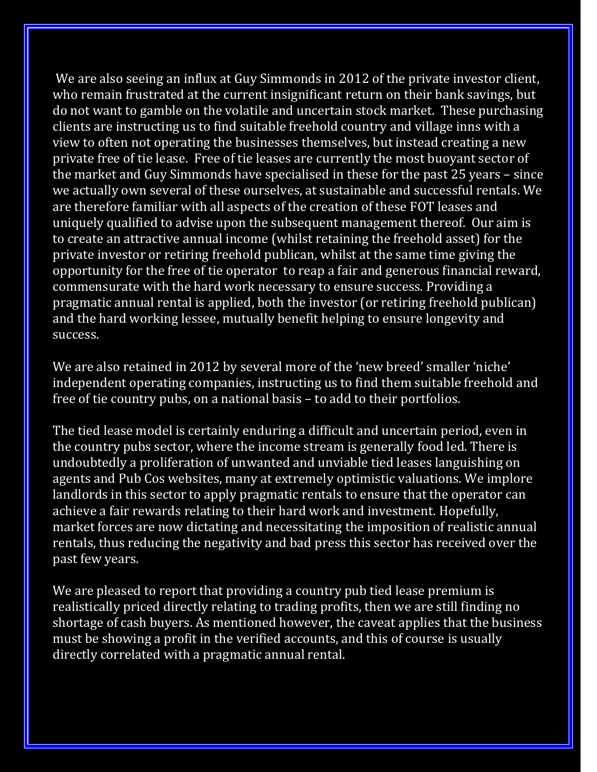We are also seeing an influx at Guy Simmonds in 2012 of the private investor client, who remain frustrated at the current insignificant return on their bank savings, but do not want to gamble on the volatile and uncertain stock market. These purchasing clients are instructing us to find suitable freehold country and village inns with a view to often not operating the businesses themselves, but instead creating a new private free of tie lease. Free of tie leases are currently the most buoyant sector of the market and Guy Simmonds have specialised in these for the past 25 years – since we actually own several of these ourselves, at sustainable and successful rentals. We are therefore familiar with all aspects of the creation of these FOT leases and uniquely qualified to advise upon the subsequent management thereof. Our aim is to create an attractive annual income (whilst retaining the freehold asset) for the private investor or retiring freehold publican, whilst at the same time giving the opportunity for the free of tie operator to reap a fair and generous financial reward, commensurate with the hard work necessary to ensure success. Providing a pragmatic annual rental is applied, both the investor (or retiring freehold publican) and the hard working lessee, mutually benefit helping to ensure longevity and success.

We are also retained in 2012 by several more of the 'new breed' smaller 'niche' independent operating companies, instructing us to find them suitable freehold and free of tie country pubs, on a national basis – to add to their portfolios.

The tied lease model is certainly enduring a difficult and uncertain period, even in the country pubs sector, where the income stream is generally food led. There is undoubtedly a proliferation of unwanted and unviable tied leases languishing on agents and Pub Cos websites, many at extremely optimistic valuations. We implore landlords in this sector to apply pragmatic rentals to ensure that the operator can achieve a fair rewards relating to their hard work and investment. Hopefully, market forces are now dictating and necessitating the imposition of realistic annual rentals, thus reducing the negativity and bad press this sector has received over the past few years.

We are pleased to report that providing a country pub tied lease premium is realistically priced directly relating to trading profits, then we are still finding no shortage of cash buyers. As mentioned however, the caveat applies that the business must be showing a profit in the verified accounts, and this of course is usually directly correlated with a pragmatic annual rental.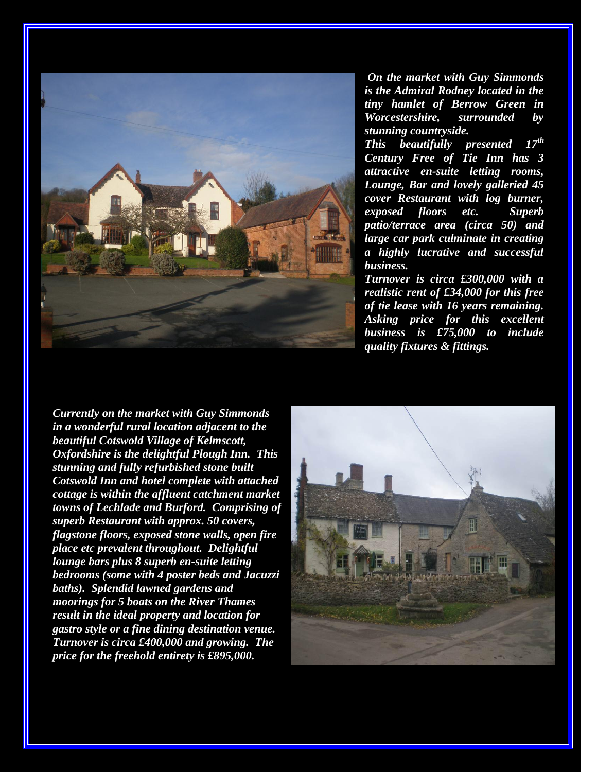

*On the market with Guy Simmonds is the Admiral Rodney located in the tiny hamlet of Berrow Green in Worcestershire, surrounded by stunning countryside.* 

*This beautifully presented 17th Century Free of Tie Inn has 3 attractive en-suite letting rooms, Lounge, Bar and lovely galleried 45 cover Restaurant with log burner, exposed floors etc. Superb patio/terrace area (circa 50) and large car park culminate in creating a highly lucrative and successful business.* 

*Turnover is circa £300,000 with a realistic rent of £34,000 for this free of tie lease with 16 years remaining. Asking price for this excellent business is £75,000 to include quality fixtures & fittings.*

*Currently on the market with Guy Simmonds in a wonderful rural location adjacent to the beautiful Cotswold Village of Kelmscott, Oxfordshire is the delightful Plough Inn. This stunning and fully refurbished stone built Cotswold Inn and hotel complete with attached cottage is within the affluent catchment market towns of Lechlade and Burford. Comprising of superb Restaurant with approx. 50 covers, flagstone floors, exposed stone walls, open fire place etc prevalent throughout. Delightful lounge bars plus 8 superb en-suite letting bedrooms (some with 4 poster beds and Jacuzzi baths). Splendid lawned gardens and moorings for 5 boats on the River Thames result in the ideal property and location for gastro style or a fine dining destination venue. Turnover is circa £400,000 and growing. The price for the freehold entirety is £895,000.*